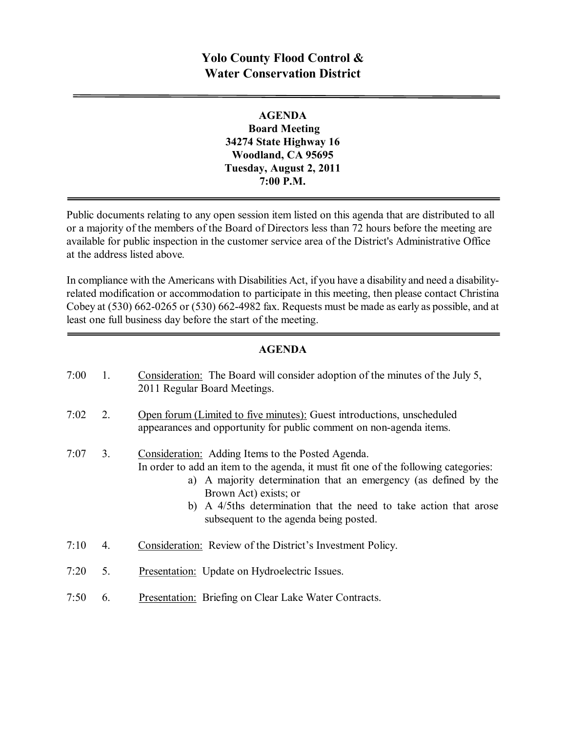# **Yolo County Flood Control & Water Conservation District**

#### **AGENDA Board Meeting 34274 State Highway 16 Woodland, CA 95695 Tuesday, August 2, 2011 7:00 P.M.**

Public documents relating to any open session item listed on this agenda that are distributed to all or a majority of the members of the Board of Directors less than 72 hours before the meeting are available for public inspection in the customer service area of the District's Administrative Office at the address listed above*.*

In compliance with the Americans with Disabilities Act, if you have a disability and need a disabilityrelated modification or accommodation to participate in this meeting, then please contact Christina Cobey at  $(530)$  662-0265 or  $(530)$  662-4982 fax. Requests must be made as early as possible, and at least one full business day before the start of the meeting.

#### **AGENDA**

| 7:00 | 1. | Consideration: The Board will consider adoption of the minutes of the July 5,<br>2011 Regular Board Meetings.                                                                                                                                                                                                                                        |
|------|----|------------------------------------------------------------------------------------------------------------------------------------------------------------------------------------------------------------------------------------------------------------------------------------------------------------------------------------------------------|
| 7:02 | 2. | Open forum (Limited to five minutes): Guest introductions, unscheduled<br>appearances and opportunity for public comment on non-agenda items.                                                                                                                                                                                                        |
| 7:07 | 3. | Consideration: Adding Items to the Posted Agenda.<br>In order to add an item to the agenda, it must fit one of the following categories:<br>a) A majority determination that an emergency (as defined by the<br>Brown Act) exists; or<br>b) A 4/5ths determination that the need to take action that arose<br>subsequent to the agenda being posted. |
| 7:10 | 4. | Consideration: Review of the District's Investment Policy.                                                                                                                                                                                                                                                                                           |
| 7:20 | 5. | Presentation: Update on Hydroelectric Issues.                                                                                                                                                                                                                                                                                                        |
| 7:50 | 6. | <b>Presentation:</b> Briefing on Clear Lake Water Contracts.                                                                                                                                                                                                                                                                                         |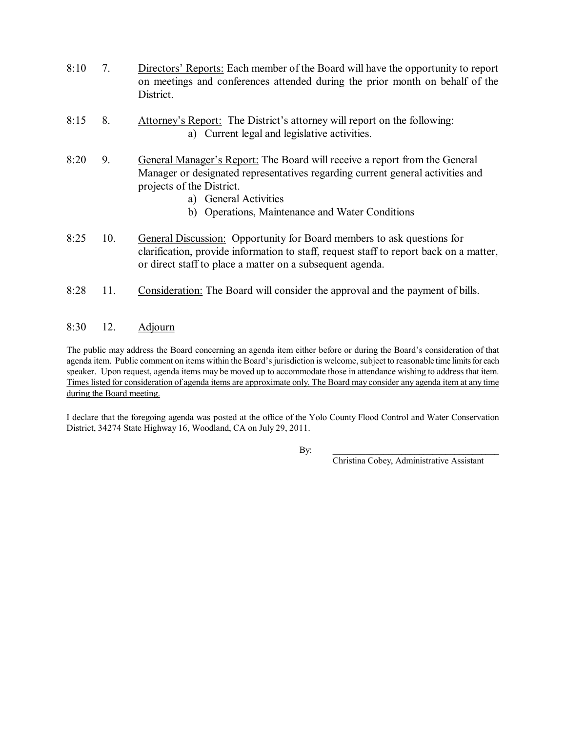- 8:10 7. Directors' Reports: Each member of the Board will have the opportunity to report on meetings and conferences attended during the prior month on behalf of the District.
- 8:15 8. Attorney's Report: The District's attorney will report on the following: a) Current legal and legislative activities.
- 8:20 9. General Manager's Report: The Board will receive a report from the General Manager or designated representatives regarding current general activities and projects of the District.
	- a) General Activities
	- b) Operations, Maintenance and Water Conditions
- 8:25 10. General Discussion: Opportunity for Board members to ask questions for clarification, provide information to staff, request staff to report back on a matter, or direct staff to place a matter on a subsequent agenda.
- 8:28 11. Consideration: The Board will consider the approval and the payment of bills.

#### 8:30 12. Adjourn

The public may address the Board concerning an agenda item either before or during the Board's consideration of that agenda item. Public comment on items within the Board's jurisdiction is welcome, subject to reasonable time limits for each speaker. Upon request, agenda items may be moved up to accommodate those in attendance wishing to address that item. Times listed for consideration of agenda items are approximate only. The Board may consider any agenda item at any time during the Board meeting.

I declare that the foregoing agenda was posted at the office of the Yolo County Flood Control and Water Conservation District, 34274 State Highway 16, Woodland, CA on July 29, 2011.

By: \_\_\_\_\_\_\_\_\_\_\_\_\_\_\_\_\_\_\_\_\_\_\_\_\_\_\_\_\_\_\_\_\_\_\_\_\_

Christina Cobey, Administrative Assistant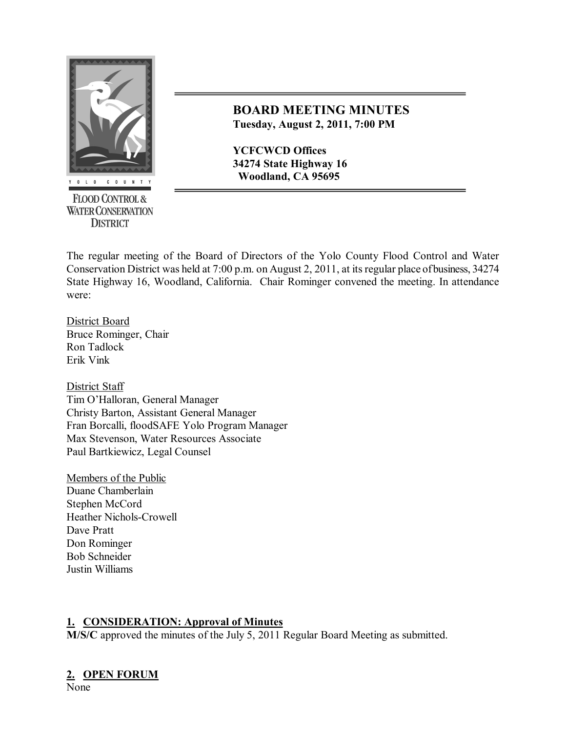

**FLOOD CONTROL & WATER CONSERVATION DISTRICT** 

## **BOARD MEETING MINUTES Tuesday, August 2, 2011, 7:00 PM**

**YCFCWCD Offices 34274 State Highway 16 Woodland, CA 95695**

The regular meeting of the Board of Directors of the Yolo County Flood Control and Water Conservation District was held at 7:00 p.m. on August 2, 2011, at itsregular place of business, 34274 State Highway 16, Woodland, California. Chair Rominger convened the meeting. In attendance were:

District Board Bruce Rominger, Chair Ron Tadlock Erik Vink

District Staff Tim O'Halloran, General Manager Christy Barton, Assistant General Manager Fran Borcalli, floodSAFE Yolo Program Manager Max Stevenson, Water Resources Associate Paul Bartkiewicz, Legal Counsel

Members of the Public Duane Chamberlain Stephen McCord Heather Nichols-Crowell Dave Pratt Don Rominger Bob Schneider Justin Williams

## **1. CONSIDERATION: Approval of Minutes**

**M/S/C** approved the minutes of the July 5, 2011 Regular Board Meeting as submitted.

# **2. OPEN FORUM**

None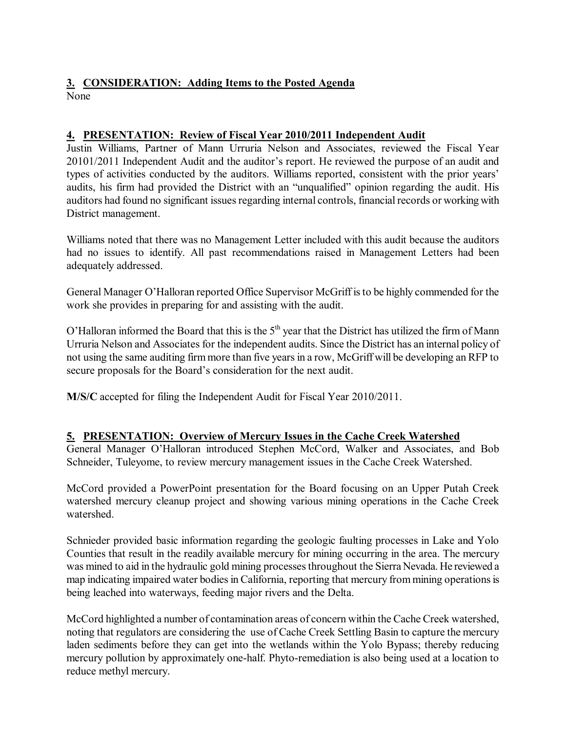#### **3. CONSIDERATION: Adding Items to the Posted Agenda** None

#### **4. PRESENTATION: Review of Fiscal Year 2010/2011 Independent Audit**

Justin Williams, Partner of Mann Urruria Nelson and Associates, reviewed the Fiscal Year 20101/2011 Independent Audit and the auditor's report. He reviewed the purpose of an audit and types of activities conducted by the auditors. Williams reported, consistent with the prior years' audits, his firm had provided the District with an "unqualified" opinion regarding the audit. His auditors had found no significant issues regarding internal controls, financial records or working with District management.

Williams noted that there was no Management Letter included with this audit because the auditors had no issues to identify. All past recommendations raised in Management Letters had been adequately addressed.

General Manager O'Halloran reported Office Supervisor McGriff isto be highly commended for the work she provides in preparing for and assisting with the audit.

O'Halloran informed the Board that this is the  $5<sup>th</sup>$  year that the District has utilized the firm of Mann Urruria Nelson and Associates for the independent audits. Since the District has an internal policy of not using the same auditing firm more than five yearsin a row, McGriff will be developing an RFP to secure proposals for the Board's consideration for the next audit.

**M/S/C** accepted for filing the Independent Audit for Fiscal Year 2010/2011.

## **5. PRESENTATION: Overview of Mercury Issues in the Cache Creek Watershed**

General Manager O'Halloran introduced Stephen McCord, Walker and Associates, and Bob Schneider, Tuleyome, to review mercury management issues in the Cache Creek Watershed.

McCord provided a PowerPoint presentation for the Board focusing on an Upper Putah Creek watershed mercury cleanup project and showing various mining operations in the Cache Creek watershed.

Schnieder provided basic information regarding the geologic faulting processes in Lake and Yolo Counties that result in the readily available mercury for mining occurring in the area. The mercury was mined to aid in the hydraulic gold mining processes throughout the Sierra Nevada. He reviewed a map indicating impaired water bodies in California, reporting that mercury from mining operations is being leached into waterways, feeding major rivers and the Delta.

McCord highlighted a number of contamination areas of concern within the Cache Creek watershed, noting that regulators are considering the use of Cache Creek Settling Basin to capture the mercury laden sediments before they can get into the wetlands within the Yolo Bypass; thereby reducing mercury pollution by approximately one-half. Phyto-remediation is also being used at a location to reduce methyl mercury.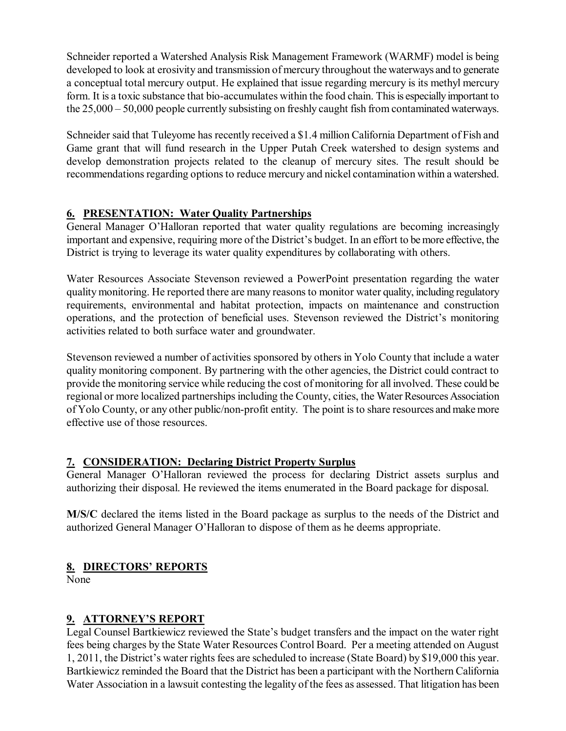Schneider reported a Watershed Analysis Risk Management Framework (WARMF) model is being developed to look at erosivity and transmission of mercury throughout the waterways and to generate a conceptual total mercury output. He explained that issue regarding mercury is its methyl mercury form. It is a toxic substance that bio-accumulates within the food chain. This is especially important to the 25,000 – 50,000 people currently subsisting on freshly caught fish from contaminated waterways.

Schneider said that Tuleyome has recently received a \$1.4 million California Department of Fish and Game grant that will fund research in the Upper Putah Creek watershed to design systems and develop demonstration projects related to the cleanup of mercury sites. The result should be recommendations regarding options to reduce mercury and nickel contamination within a watershed.

## **6. PRESENTATION: Water Quality Partnerships**

General Manager O'Halloran reported that water quality regulations are becoming increasingly important and expensive, requiring more of the District's budget. In an effort to be more effective, the District is trying to leverage its water quality expenditures by collaborating with others.

Water Resources Associate Stevenson reviewed a PowerPoint presentation regarding the water quality monitoring. He reported there are many reasonsto monitor water quality, including regulatory requirements, environmental and habitat protection, impacts on maintenance and construction operations, and the protection of beneficial uses. Stevenson reviewed the District's monitoring activities related to both surface water and groundwater.

Stevenson reviewed a number of activities sponsored by others in Yolo County that include a water quality monitoring component. By partnering with the other agencies, the District could contract to provide the monitoring service while reducing the cost of monitoring for all involved. These could be regional or more localized partnerships including the County, cities, the Water Resources Association of Yolo County, or any other public/non-profit entity. The point is to share resources and make more effective use of those resources.

## **7. CONSIDERATION: Declaring District Property Surplus**

General Manager O'Halloran reviewed the process for declaring District assets surplus and authorizing their disposal. He reviewed the items enumerated in the Board package for disposal.

**M/S/C** declared the items listed in the Board package as surplus to the needs of the District and authorized General Manager O'Halloran to dispose of them as he deems appropriate.

## **8. DIRECTORS' REPORTS**

None

## **9. ATTORNEY'S REPORT**

Legal Counsel Bartkiewicz reviewed the State's budget transfers and the impact on the water right fees being charges by the State Water Resources Control Board. Per a meeting attended on August 1, 2011, the District's water rights fees are scheduled to increase (State Board) by \$19,000 this year. Bartkiewicz reminded the Board that the District has been a participant with the Northern California Water Association in a lawsuit contesting the legality of the fees as assessed. That litigation has been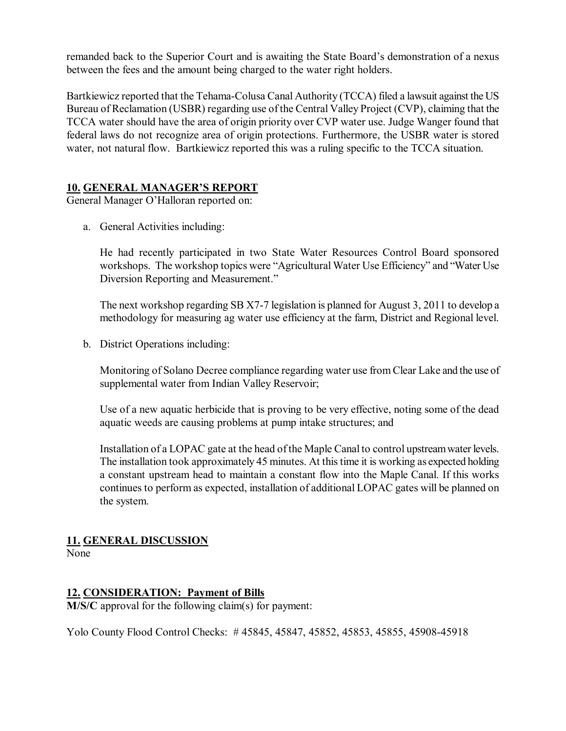remanded back to the Superior Court and is awaiting the State Board's demonstration of a nexus between the fees and the amount being charged to the water right holders.

Bartkiewicz reported that the Tehama-Colusa Canal Authority (TCCA) filed a lawsuit against the US Bureau of Reclamation (USBR) regarding use of the Central Valley Project (CVP), claiming that the TCCA water should have the area of origin priority over CVP water use. Judge Wanger found that federal laws do not recognize area of origin protections. Furthermore, the USBR water is stored water, not natural flow. Bartkiewicz reported this was a ruling specific to the TCCA situation.

#### **10. GENERAL MANAGER'S REPORT**

General Manager O'Halloran reported on:

a. General Activities including:

He had recently participated in two State Water Resources Control Board sponsored workshops. The workshop topics were "Agricultural Water Use Efficiency" and "Water Use Diversion Reporting and Measurement."

The next workshop regarding SB X7-7 legislation is planned for August 3, 2011 to develop a methodology for measuring ag water use efficiency at the farm, District and Regional level.

b. District Operations including:

Monitoring of Solano Decree compliance regarding water use from Clear Lake and the use of supplemental water from Indian Valley Reservoir;

Use of a new aquatic herbicide that is proving to be very effective, noting some of the dead aquatic weeds are causing problems at pump intake structures; and

Installation of a LOPAC gate at the head of the Maple Canal to control upstreamwater levels. The installation took approximately 45 minutes. At this time it is working as expected holding a constant upstream head to maintain a constant flow into the Maple Canal. If this works continues to perform as expected, installation of additional LOPAC gates will be planned on the system.

## **11. GENERAL DISCUSSION**

None

#### **12. CONSIDERATION: Payment of Bills**

**M/S/C** approval for the following claim(s) for payment:

Yolo County Flood Control Checks: #45845, 45847, 45852, 45853, 45855, 45908-45918